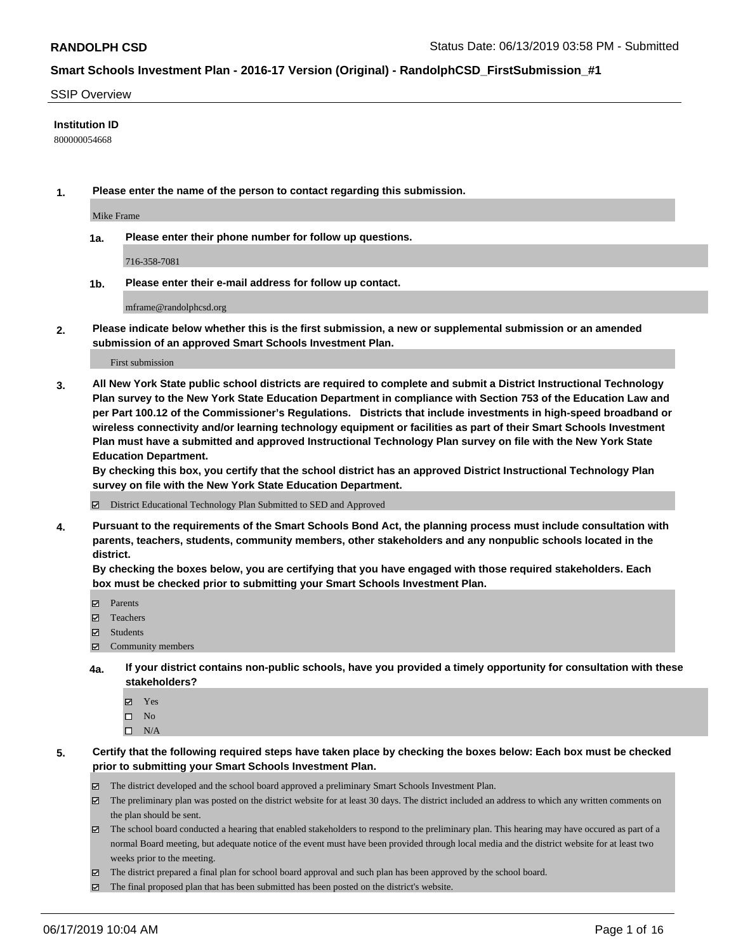#### SSIP Overview

#### **Institution ID**

800000054668

**1. Please enter the name of the person to contact regarding this submission.**

Mike Frame

**1a. Please enter their phone number for follow up questions.**

716-358-7081

**1b. Please enter their e-mail address for follow up contact.**

mframe@randolphcsd.org

**2. Please indicate below whether this is the first submission, a new or supplemental submission or an amended submission of an approved Smart Schools Investment Plan.**

First submission

**3. All New York State public school districts are required to complete and submit a District Instructional Technology Plan survey to the New York State Education Department in compliance with Section 753 of the Education Law and per Part 100.12 of the Commissioner's Regulations. Districts that include investments in high-speed broadband or wireless connectivity and/or learning technology equipment or facilities as part of their Smart Schools Investment Plan must have a submitted and approved Instructional Technology Plan survey on file with the New York State Education Department.** 

**By checking this box, you certify that the school district has an approved District Instructional Technology Plan survey on file with the New York State Education Department.**

District Educational Technology Plan Submitted to SED and Approved

**4. Pursuant to the requirements of the Smart Schools Bond Act, the planning process must include consultation with parents, teachers, students, community members, other stakeholders and any nonpublic schools located in the district.** 

**By checking the boxes below, you are certifying that you have engaged with those required stakeholders. Each box must be checked prior to submitting your Smart Schools Investment Plan.**

- Parents
- Teachers
- Students
- $\Xi$  Community members
- **4a. If your district contains non-public schools, have you provided a timely opportunity for consultation with these stakeholders?**
	- Yes
	- $\square$  No
	- $\square$  N/A

**5. Certify that the following required steps have taken place by checking the boxes below: Each box must be checked prior to submitting your Smart Schools Investment Plan.**

- The district developed and the school board approved a preliminary Smart Schools Investment Plan.
- $\boxtimes$  The preliminary plan was posted on the district website for at least 30 days. The district included an address to which any written comments on the plan should be sent.
- $\boxtimes$  The school board conducted a hearing that enabled stakeholders to respond to the preliminary plan. This hearing may have occured as part of a normal Board meeting, but adequate notice of the event must have been provided through local media and the district website for at least two weeks prior to the meeting.
- The district prepared a final plan for school board approval and such plan has been approved by the school board.
- $\boxtimes$  The final proposed plan that has been submitted has been posted on the district's website.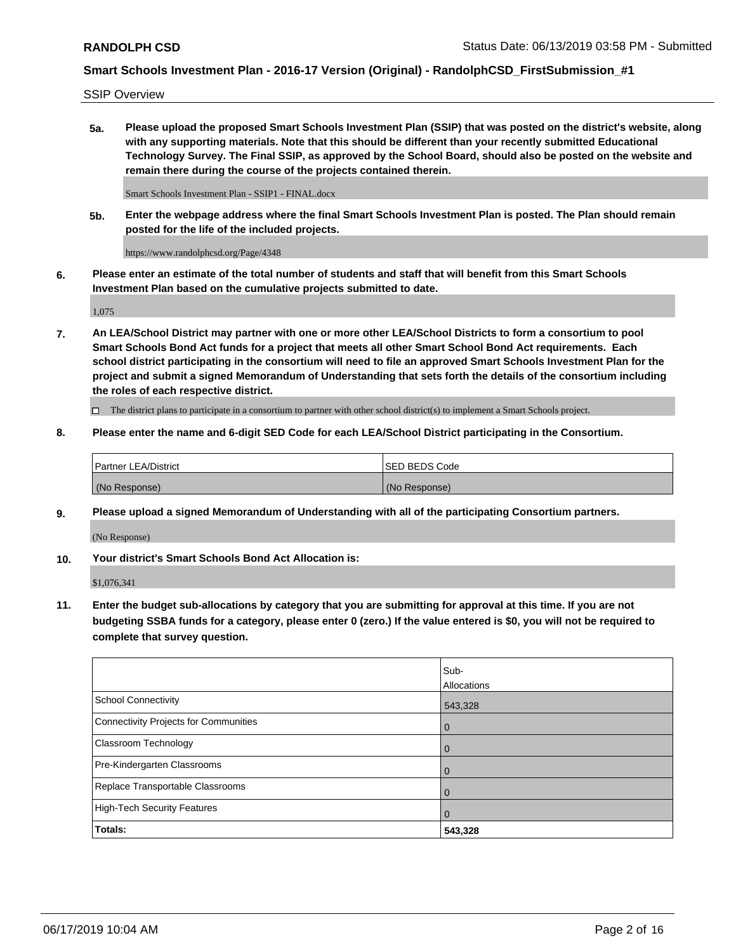SSIP Overview

**5a. Please upload the proposed Smart Schools Investment Plan (SSIP) that was posted on the district's website, along with any supporting materials. Note that this should be different than your recently submitted Educational Technology Survey. The Final SSIP, as approved by the School Board, should also be posted on the website and remain there during the course of the projects contained therein.**

Smart Schools Investment Plan - SSIP1 - FINAL.docx

**5b. Enter the webpage address where the final Smart Schools Investment Plan is posted. The Plan should remain posted for the life of the included projects.**

https://www.randolphcsd.org/Page/4348

**6. Please enter an estimate of the total number of students and staff that will benefit from this Smart Schools Investment Plan based on the cumulative projects submitted to date.**

1,075

**7. An LEA/School District may partner with one or more other LEA/School Districts to form a consortium to pool Smart Schools Bond Act funds for a project that meets all other Smart School Bond Act requirements. Each school district participating in the consortium will need to file an approved Smart Schools Investment Plan for the project and submit a signed Memorandum of Understanding that sets forth the details of the consortium including the roles of each respective district.**

 $\Box$  The district plans to participate in a consortium to partner with other school district(s) to implement a Smart Schools project.

#### **8. Please enter the name and 6-digit SED Code for each LEA/School District participating in the Consortium.**

| Partner LEA/District | <b>ISED BEDS Code</b> |
|----------------------|-----------------------|
| (No Response)        | (No Response)         |

#### **9. Please upload a signed Memorandum of Understanding with all of the participating Consortium partners.**

(No Response)

**10. Your district's Smart Schools Bond Act Allocation is:**

\$1,076,341

**11. Enter the budget sub-allocations by category that you are submitting for approval at this time. If you are not budgeting SSBA funds for a category, please enter 0 (zero.) If the value entered is \$0, you will not be required to complete that survey question.**

|                                       | Sub-<br><b>Allocations</b> |
|---------------------------------------|----------------------------|
| <b>School Connectivity</b>            | 543,328                    |
| Connectivity Projects for Communities | $\mathbf 0$                |
| Classroom Technology                  | $\mathbf 0$                |
| Pre-Kindergarten Classrooms           | 0                          |
| Replace Transportable Classrooms      | $\Omega$                   |
| High-Tech Security Features           | $\Omega$                   |
| Totals:                               | 543,328                    |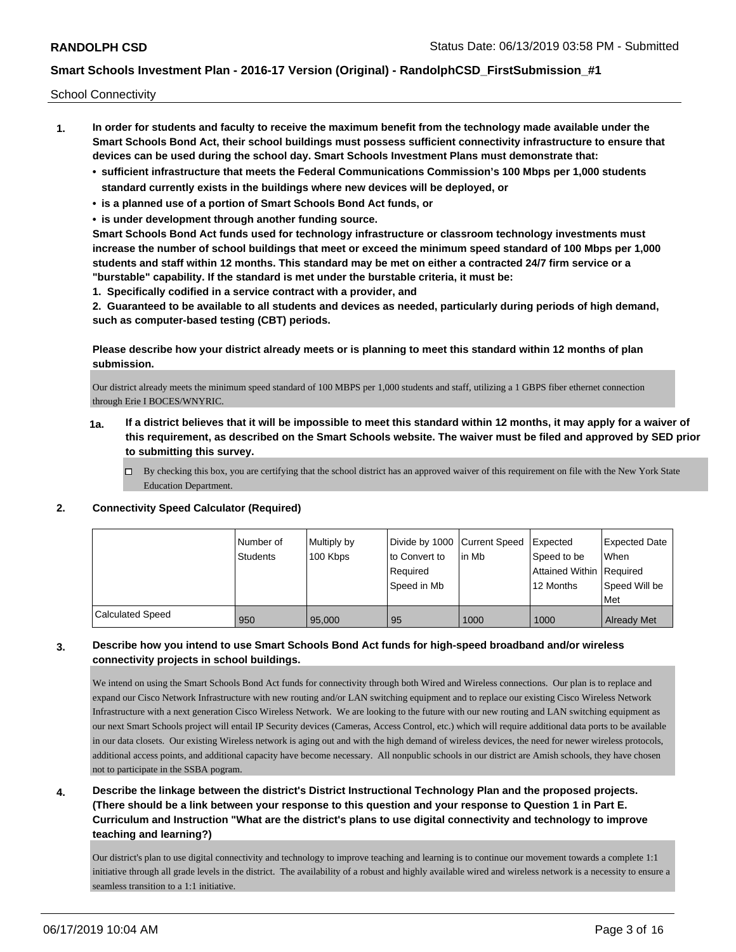School Connectivity

- **1. In order for students and faculty to receive the maximum benefit from the technology made available under the Smart Schools Bond Act, their school buildings must possess sufficient connectivity infrastructure to ensure that devices can be used during the school day. Smart Schools Investment Plans must demonstrate that:**
	- **• sufficient infrastructure that meets the Federal Communications Commission's 100 Mbps per 1,000 students standard currently exists in the buildings where new devices will be deployed, or**
	- **• is a planned use of a portion of Smart Schools Bond Act funds, or**
	- **• is under development through another funding source.**

**Smart Schools Bond Act funds used for technology infrastructure or classroom technology investments must increase the number of school buildings that meet or exceed the minimum speed standard of 100 Mbps per 1,000 students and staff within 12 months. This standard may be met on either a contracted 24/7 firm service or a "burstable" capability. If the standard is met under the burstable criteria, it must be:**

**1. Specifically codified in a service contract with a provider, and**

**2. Guaranteed to be available to all students and devices as needed, particularly during periods of high demand, such as computer-based testing (CBT) periods.**

### **Please describe how your district already meets or is planning to meet this standard within 12 months of plan submission.**

Our district already meets the minimum speed standard of 100 MBPS per 1,000 students and staff, utilizing a 1 GBPS fiber ethernet connection through Erie I BOCES/WNYRIC.

- **1a. If a district believes that it will be impossible to meet this standard within 12 months, it may apply for a waiver of this requirement, as described on the Smart Schools website. The waiver must be filed and approved by SED prior to submitting this survey.**
	- $\Box$  By checking this box, you are certifying that the school district has an approved waiver of this requirement on file with the New York State Education Department.

#### **2. Connectivity Speed Calculator (Required)**

|                         | Number of<br>Students | Multiply by<br>100 Kbps | Divide by 1000 Current Speed<br>to Convert to<br>Required<br>Speed in Mb | l in Mb | <b>Expected</b><br>Speed to be<br>Attained Within Required<br>12 Months | <b>Expected Date</b><br>When<br>Speed Will be<br>Met |
|-------------------------|-----------------------|-------------------------|--------------------------------------------------------------------------|---------|-------------------------------------------------------------------------|------------------------------------------------------|
| <b>Calculated Speed</b> | 950                   | 95,000                  | 95                                                                       | 1000    | 1000                                                                    | <b>Already Met</b>                                   |

## **3. Describe how you intend to use Smart Schools Bond Act funds for high-speed broadband and/or wireless connectivity projects in school buildings.**

We intend on using the Smart Schools Bond Act funds for connectivity through both Wired and Wireless connections. Our plan is to replace and expand our Cisco Network Infrastructure with new routing and/or LAN switching equipment and to replace our existing Cisco Wireless Network Infrastructure with a next generation Cisco Wireless Network. We are looking to the future with our new routing and LAN switching equipment as our next Smart Schools project will entail IP Security devices (Cameras, Access Control, etc.) which will require additional data ports to be available in our data closets. Our existing Wireless network is aging out and with the high demand of wireless devices, the need for newer wireless protocols, additional access points, and additional capacity have become necessary. All nonpublic schools in our district are Amish schools, they have chosen not to participate in the SSBA pogram.

## **4. Describe the linkage between the district's District Instructional Technology Plan and the proposed projects. (There should be a link between your response to this question and your response to Question 1 in Part E. Curriculum and Instruction "What are the district's plans to use digital connectivity and technology to improve teaching and learning?)**

Our district's plan to use digital connectivity and technology to improve teaching and learning is to continue our movement towards a complete 1:1 initiative through all grade levels in the district. The availability of a robust and highly available wired and wireless network is a necessity to ensure a seamless transition to a 1:1 initiative.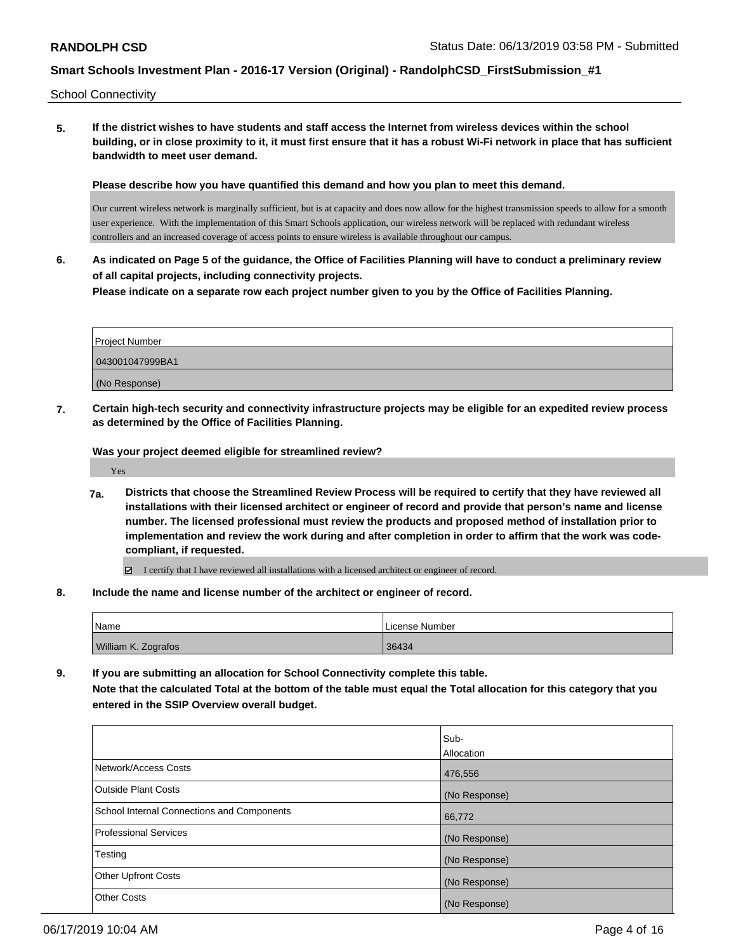School Connectivity

**5. If the district wishes to have students and staff access the Internet from wireless devices within the school building, or in close proximity to it, it must first ensure that it has a robust Wi-Fi network in place that has sufficient bandwidth to meet user demand.**

**Please describe how you have quantified this demand and how you plan to meet this demand.**

Our current wireless network is marginally sufficient, but is at capacity and does now allow for the highest transmission speeds to allow for a smooth user experience. With the implementation of this Smart Schools application, our wireless network will be replaced with redundant wireless controllers and an increased coverage of access points to ensure wireless is available throughout our campus.

**6. As indicated on Page 5 of the guidance, the Office of Facilities Planning will have to conduct a preliminary review of all capital projects, including connectivity projects.**

**Please indicate on a separate row each project number given to you by the Office of Facilities Planning.**

| Project Number  |  |
|-----------------|--|
| 043001047999BA1 |  |
| (No Response)   |  |

**7. Certain high-tech security and connectivity infrastructure projects may be eligible for an expedited review process as determined by the Office of Facilities Planning.**

**Was your project deemed eligible for streamlined review?**

Yes

- **7a. Districts that choose the Streamlined Review Process will be required to certify that they have reviewed all installations with their licensed architect or engineer of record and provide that person's name and license number. The licensed professional must review the products and proposed method of installation prior to implementation and review the work during and after completion in order to affirm that the work was codecompliant, if requested.**
	- I certify that I have reviewed all installations with a licensed architect or engineer of record.
- **8. Include the name and license number of the architect or engineer of record.**

| 'Name               | License Number |
|---------------------|----------------|
| William K. Zografos | 36434          |

**9. If you are submitting an allocation for School Connectivity complete this table. Note that the calculated Total at the bottom of the table must equal the Total allocation for this category that you entered in the SSIP Overview overall budget.** 

|                                            | Sub-<br><b>Allocation</b> |
|--------------------------------------------|---------------------------|
| Network/Access Costs                       | 476,556                   |
| <b>Outside Plant Costs</b>                 | (No Response)             |
| School Internal Connections and Components | 66,772                    |
| <b>Professional Services</b>               | (No Response)             |
| Testing                                    | (No Response)             |
| <b>Other Upfront Costs</b>                 | (No Response)             |
| <b>Other Costs</b>                         | (No Response)             |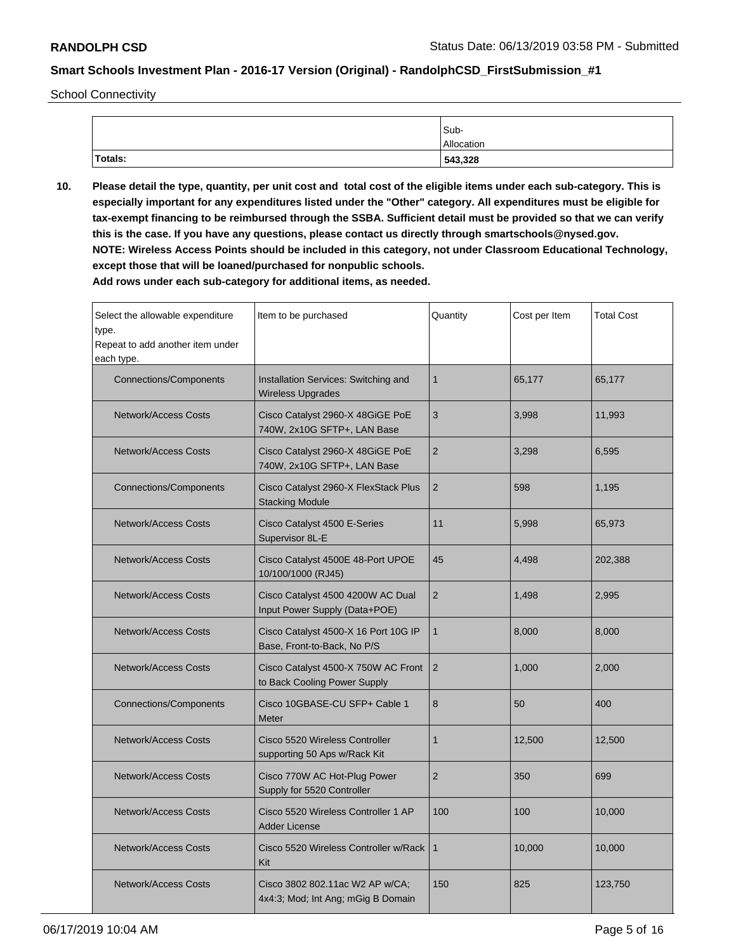School Connectivity

|         | Sub-       |
|---------|------------|
|         | Allocation |
| Totals: | 543,328    |

**10. Please detail the type, quantity, per unit cost and total cost of the eligible items under each sub-category. This is especially important for any expenditures listed under the "Other" category. All expenditures must be eligible for tax-exempt financing to be reimbursed through the SSBA. Sufficient detail must be provided so that we can verify this is the case. If you have any questions, please contact us directly through smartschools@nysed.gov. NOTE: Wireless Access Points should be included in this category, not under Classroom Educational Technology, except those that will be loaned/purchased for nonpublic schools.**

| Select the allowable expenditure<br>type.<br>Repeat to add another item under<br>each type. | Item to be purchased                                                  | Quantity                  | Cost per Item | <b>Total Cost</b> |
|---------------------------------------------------------------------------------------------|-----------------------------------------------------------------------|---------------------------|---------------|-------------------|
| <b>Connections/Components</b>                                                               | Installation Services: Switching and<br><b>Wireless Upgrades</b>      | $\mathbf{1}$              | 65,177        | 65,177            |
| <b>Network/Access Costs</b>                                                                 | Cisco Catalyst 2960-X 48GiGE PoE<br>740W, 2x10G SFTP+, LAN Base       | $\ensuremath{\mathsf{3}}$ | 3,998         | 11,993            |
| <b>Network/Access Costs</b>                                                                 | Cisco Catalyst 2960-X 48GiGE PoE<br>740W, 2x10G SFTP+, LAN Base       | $\overline{2}$            | 3,298         | 6,595             |
| <b>Connections/Components</b>                                                               | Cisco Catalyst 2960-X FlexStack Plus<br><b>Stacking Module</b>        | 2                         | 598           | 1,195             |
| <b>Network/Access Costs</b>                                                                 | Cisco Catalyst 4500 E-Series<br>Supervisor 8L-E                       | 11                        | 5,998         | 65,973            |
| <b>Network/Access Costs</b>                                                                 | Cisco Catalyst 4500E 48-Port UPOE<br>10/100/1000 (RJ45)               | 45                        | 4,498         | 202,388           |
| <b>Network/Access Costs</b>                                                                 | Cisco Catalyst 4500 4200W AC Dual<br>Input Power Supply (Data+POE)    | $\overline{2}$            | 1,498         | 2,995             |
| <b>Network/Access Costs</b>                                                                 | Cisco Catalyst 4500-X 16 Port 10G IP<br>Base, Front-to-Back, No P/S   | $\mathbf{1}$              | 8.000         | 8.000             |
| <b>Network/Access Costs</b>                                                                 | Cisco Catalyst 4500-X 750W AC Front<br>to Back Cooling Power Supply   | 2                         | 1.000         | 2,000             |
| Connections/Components                                                                      | Cisco 10GBASE-CU SFP+ Cable 1<br>Meter                                | 8                         | 50            | 400               |
| <b>Network/Access Costs</b>                                                                 | Cisco 5520 Wireless Controller<br>supporting 50 Aps w/Rack Kit        | $\mathbf{1}$              | 12,500        | 12,500            |
| <b>Network/Access Costs</b>                                                                 | Cisco 770W AC Hot-Plug Power<br>Supply for 5520 Controller            | $\overline{2}$            | 350           | 699               |
| <b>Network/Access Costs</b>                                                                 | Cisco 5520 Wireless Controller 1 AP<br><b>Adder License</b>           | 100                       | 100           | 10,000            |
| <b>Network/Access Costs</b>                                                                 | Cisco 5520 Wireless Controller w/Rack<br>Kit                          | $\mathbf{1}$              | 10,000        | 10,000            |
| <b>Network/Access Costs</b>                                                                 | Cisco 3802 802.11ac W2 AP w/CA;<br>4x4:3; Mod; Int Ang; mGig B Domain | 150                       | 825           | 123,750           |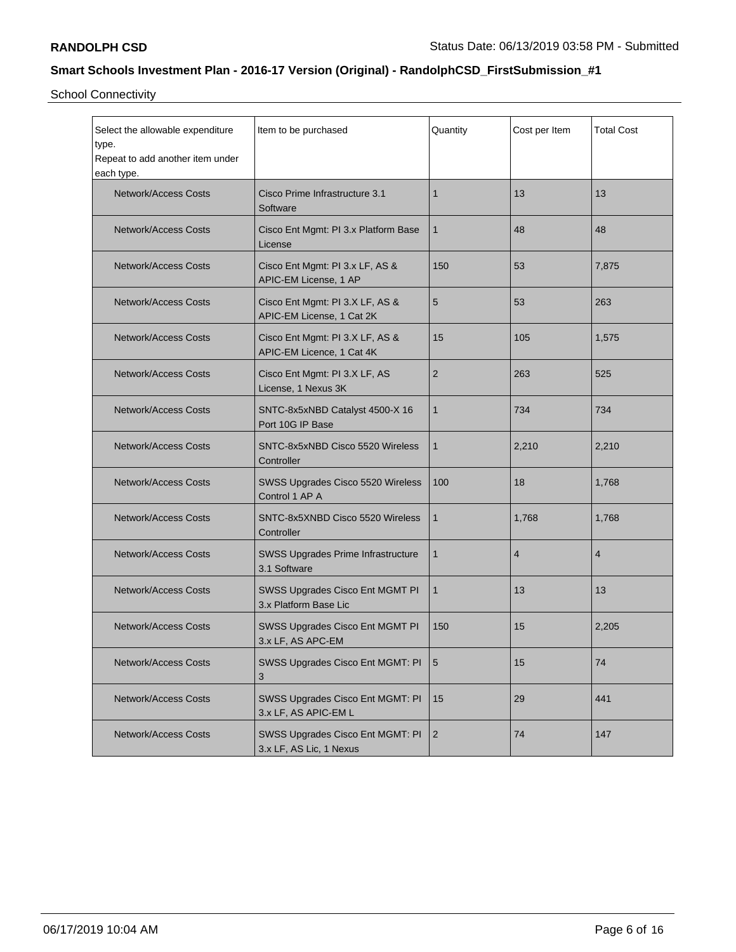School Connectivity

| Select the allowable expenditure<br>type.<br>Repeat to add another item under<br>each type. | Item to be purchased                                         | Quantity       | Cost per Item  | <b>Total Cost</b> |
|---------------------------------------------------------------------------------------------|--------------------------------------------------------------|----------------|----------------|-------------------|
| <b>Network/Access Costs</b>                                                                 | Cisco Prime Infrastructure 3.1<br>Software                   | $\mathbf{1}$   | 13             | 13                |
| <b>Network/Access Costs</b>                                                                 | Cisco Ent Mgmt: PI 3.x Platform Base<br>License              | $\mathbf{1}$   | 48             | 48                |
| <b>Network/Access Costs</b>                                                                 | Cisco Ent Mgmt: PI 3.x LF, AS &<br>APIC-EM License, 1 AP     | 150            | 53             | 7,875             |
| <b>Network/Access Costs</b>                                                                 | Cisco Ent Mgmt: PI 3.X LF, AS &<br>APIC-EM License, 1 Cat 2K | 5              | 53             | 263               |
| <b>Network/Access Costs</b>                                                                 | Cisco Ent Mgmt: PI 3.X LF, AS &<br>APIC-EM Licence, 1 Cat 4K | 15             | 105            | 1,575             |
| <b>Network/Access Costs</b>                                                                 | Cisco Ent Mgmt: PI 3.X LF, AS<br>License, 1 Nexus 3K         | $\overline{2}$ | 263            | 525               |
| <b>Network/Access Costs</b>                                                                 | SNTC-8x5xNBD Catalyst 4500-X 16<br>Port 10G IP Base          | $\mathbf{1}$   | 734            | 734               |
| <b>Network/Access Costs</b>                                                                 | SNTC-8x5xNBD Cisco 5520 Wireless<br>Controller               | $\mathbf{1}$   | 2,210          | 2,210             |
| <b>Network/Access Costs</b>                                                                 | SWSS Upgrades Cisco 5520 Wireless<br>Control 1 AP A          | 100            | 18             | 1,768             |
| Network/Access Costs                                                                        | SNTC-8x5XNBD Cisco 5520 Wireless<br>Controller               | $\mathbf 1$    | 1,768          | 1,768             |
| <b>Network/Access Costs</b>                                                                 | SWSS Upgrades Prime Infrastructure<br>3.1 Software           | $\mathbf{1}$   | $\overline{4}$ | 4                 |
| <b>Network/Access Costs</b>                                                                 | SWSS Upgrades Cisco Ent MGMT PI<br>3.x Platform Base Lic     | $\mathbf{1}$   | 13             | 13                |
| <b>Network/Access Costs</b>                                                                 | SWSS Upgrades Cisco Ent MGMT PI<br>3.x LF, AS APC-EM         | 150            | 15             | 2,205             |
| Network/Access Costs                                                                        | SWSS Upgrades Cisco Ent MGMT: PI<br>3                        | $5\phantom{1}$ | 15             | 74                |
| <b>Network/Access Costs</b>                                                                 | SWSS Upgrades Cisco Ent MGMT: PI<br>3.x LF, AS APIC-EM L     | 15             | 29             | 441               |
| <b>Network/Access Costs</b>                                                                 | SWSS Upgrades Cisco Ent MGMT: PI<br>3.x LF, AS Lic, 1 Nexus  | $\sqrt{2}$     | 74             | 147               |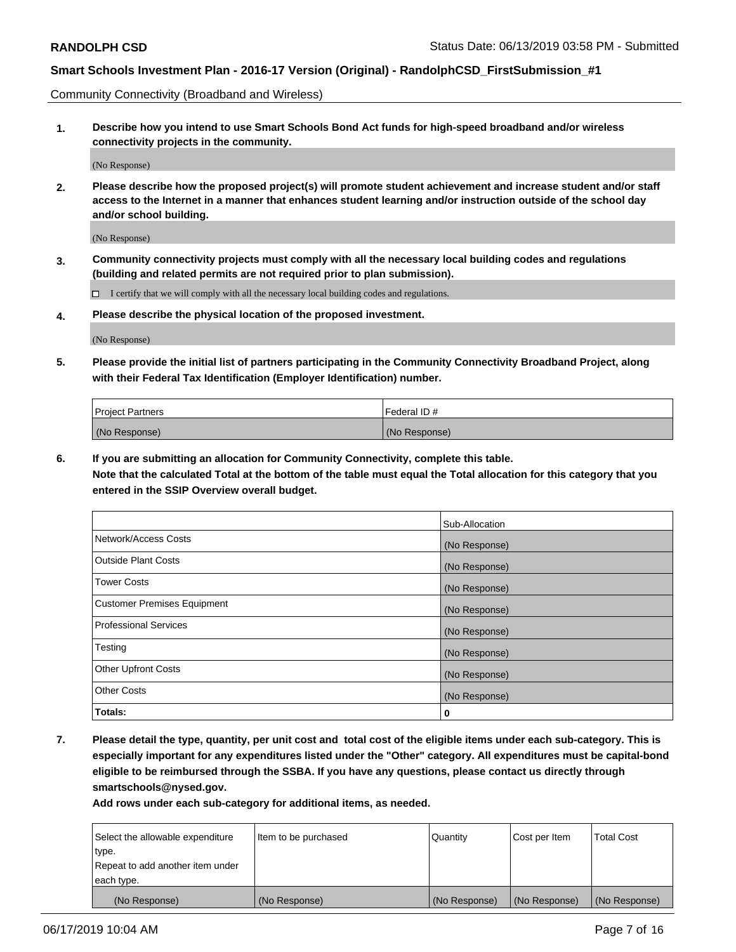Community Connectivity (Broadband and Wireless)

**1. Describe how you intend to use Smart Schools Bond Act funds for high-speed broadband and/or wireless connectivity projects in the community.**

(No Response)

**2. Please describe how the proposed project(s) will promote student achievement and increase student and/or staff access to the Internet in a manner that enhances student learning and/or instruction outside of the school day and/or school building.**

(No Response)

**3. Community connectivity projects must comply with all the necessary local building codes and regulations (building and related permits are not required prior to plan submission).**

 $\Box$  I certify that we will comply with all the necessary local building codes and regulations.

**4. Please describe the physical location of the proposed investment.**

(No Response)

**5. Please provide the initial list of partners participating in the Community Connectivity Broadband Project, along with their Federal Tax Identification (Employer Identification) number.**

| <b>Project Partners</b> | Federal ID#   |
|-------------------------|---------------|
| (No Response)           | (No Response) |

**6. If you are submitting an allocation for Community Connectivity, complete this table.**

**Note that the calculated Total at the bottom of the table must equal the Total allocation for this category that you entered in the SSIP Overview overall budget.**

|                              | Sub-Allocation |
|------------------------------|----------------|
| Network/Access Costs         | (No Response)  |
| Outside Plant Costs          | (No Response)  |
| <b>Tower Costs</b>           | (No Response)  |
| Customer Premises Equipment  | (No Response)  |
| <b>Professional Services</b> | (No Response)  |
| Testing                      | (No Response)  |
| <b>Other Upfront Costs</b>   | (No Response)  |
| <b>Other Costs</b>           | (No Response)  |
| Totals:                      | 0              |

**7. Please detail the type, quantity, per unit cost and total cost of the eligible items under each sub-category. This is especially important for any expenditures listed under the "Other" category. All expenditures must be capital-bond eligible to be reimbursed through the SSBA. If you have any questions, please contact us directly through smartschools@nysed.gov.**

| Select the allowable expenditure | Item to be purchased | Quantity      | Cost per Item | <b>Total Cost</b> |
|----------------------------------|----------------------|---------------|---------------|-------------------|
| type.                            |                      |               |               |                   |
| Repeat to add another item under |                      |               |               |                   |
| each type.                       |                      |               |               |                   |
| (No Response)                    | (No Response)        | (No Response) | (No Response) | (No Response)     |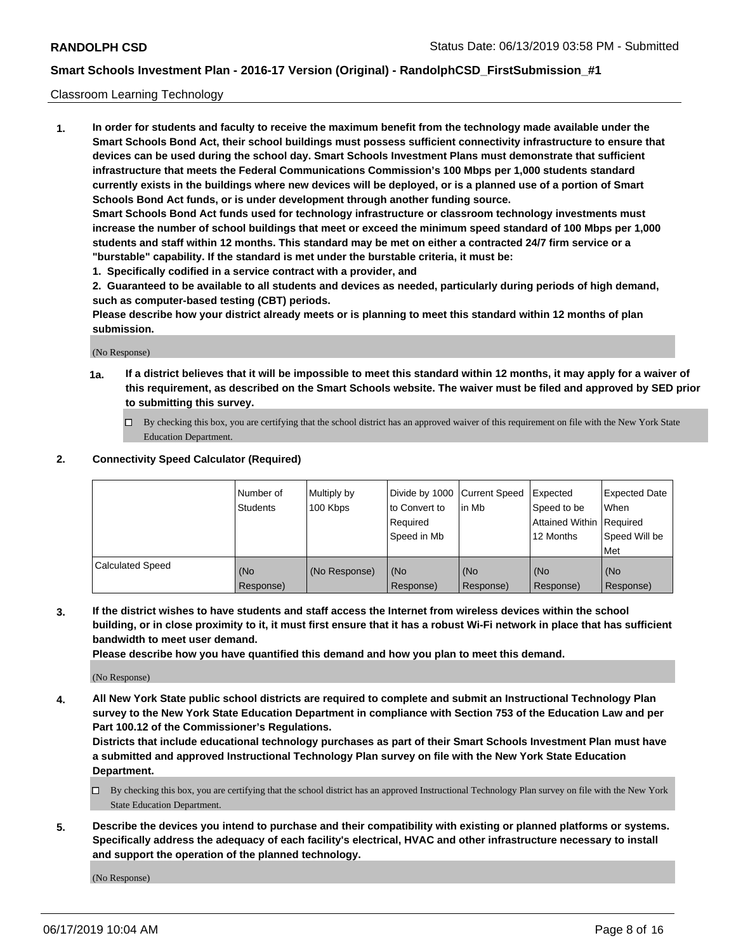#### Classroom Learning Technology

**1. In order for students and faculty to receive the maximum benefit from the technology made available under the Smart Schools Bond Act, their school buildings must possess sufficient connectivity infrastructure to ensure that devices can be used during the school day. Smart Schools Investment Plans must demonstrate that sufficient infrastructure that meets the Federal Communications Commission's 100 Mbps per 1,000 students standard currently exists in the buildings where new devices will be deployed, or is a planned use of a portion of Smart Schools Bond Act funds, or is under development through another funding source. Smart Schools Bond Act funds used for technology infrastructure or classroom technology investments must increase the number of school buildings that meet or exceed the minimum speed standard of 100 Mbps per 1,000 students and staff within 12 months. This standard may be met on either a contracted 24/7 firm service or a**

- **"burstable" capability. If the standard is met under the burstable criteria, it must be:**
- **1. Specifically codified in a service contract with a provider, and**

**2. Guaranteed to be available to all students and devices as needed, particularly during periods of high demand, such as computer-based testing (CBT) periods.**

**Please describe how your district already meets or is planning to meet this standard within 12 months of plan submission.**

(No Response)

- **1a. If a district believes that it will be impossible to meet this standard within 12 months, it may apply for a waiver of this requirement, as described on the Smart Schools website. The waiver must be filed and approved by SED prior to submitting this survey.**
	- By checking this box, you are certifying that the school district has an approved waiver of this requirement on file with the New York State Education Department.

#### **2. Connectivity Speed Calculator (Required)**

|                         | I Number of<br>Students | Multiply by<br>100 Kbps | to Convert to<br>Required<br>Speed in Mb | Divide by 1000 Current Speed Expected<br>lin Mb | Speed to be<br>Attained Within Required<br>12 Months | Expected Date<br>When<br>Speed Will be<br>Met |
|-------------------------|-------------------------|-------------------------|------------------------------------------|-------------------------------------------------|------------------------------------------------------|-----------------------------------------------|
| <b>Calculated Speed</b> | (No<br>Response)        | (No Response)           | (No<br>Response)                         | (No<br>Response)                                | (No<br>Response)                                     | (No<br>Response)                              |

**3. If the district wishes to have students and staff access the Internet from wireless devices within the school building, or in close proximity to it, it must first ensure that it has a robust Wi-Fi network in place that has sufficient bandwidth to meet user demand.**

**Please describe how you have quantified this demand and how you plan to meet this demand.**

(No Response)

**4. All New York State public school districts are required to complete and submit an Instructional Technology Plan survey to the New York State Education Department in compliance with Section 753 of the Education Law and per Part 100.12 of the Commissioner's Regulations.**

**Districts that include educational technology purchases as part of their Smart Schools Investment Plan must have a submitted and approved Instructional Technology Plan survey on file with the New York State Education Department.**

- $\Box$  By checking this box, you are certifying that the school district has an approved Instructional Technology Plan survey on file with the New York State Education Department.
- **5. Describe the devices you intend to purchase and their compatibility with existing or planned platforms or systems. Specifically address the adequacy of each facility's electrical, HVAC and other infrastructure necessary to install and support the operation of the planned technology.**

(No Response)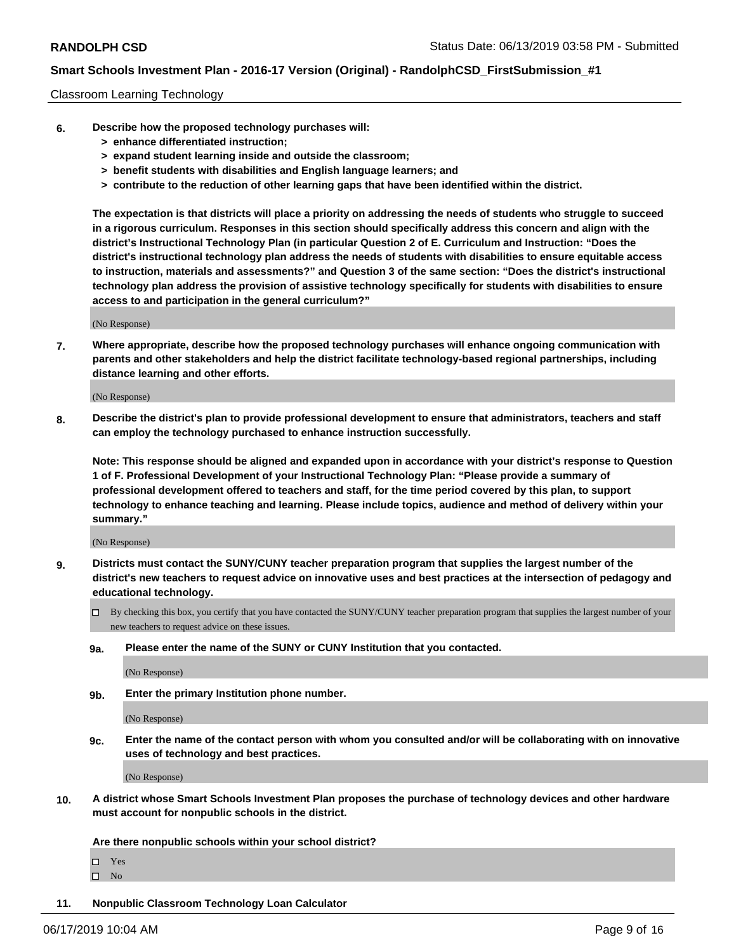#### Classroom Learning Technology

- **6. Describe how the proposed technology purchases will:**
	- **> enhance differentiated instruction;**
	- **> expand student learning inside and outside the classroom;**
	- **> benefit students with disabilities and English language learners; and**
	- **> contribute to the reduction of other learning gaps that have been identified within the district.**

**The expectation is that districts will place a priority on addressing the needs of students who struggle to succeed in a rigorous curriculum. Responses in this section should specifically address this concern and align with the district's Instructional Technology Plan (in particular Question 2 of E. Curriculum and Instruction: "Does the district's instructional technology plan address the needs of students with disabilities to ensure equitable access to instruction, materials and assessments?" and Question 3 of the same section: "Does the district's instructional technology plan address the provision of assistive technology specifically for students with disabilities to ensure access to and participation in the general curriculum?"**

(No Response)

**7. Where appropriate, describe how the proposed technology purchases will enhance ongoing communication with parents and other stakeholders and help the district facilitate technology-based regional partnerships, including distance learning and other efforts.**

(No Response)

**8. Describe the district's plan to provide professional development to ensure that administrators, teachers and staff can employ the technology purchased to enhance instruction successfully.**

**Note: This response should be aligned and expanded upon in accordance with your district's response to Question 1 of F. Professional Development of your Instructional Technology Plan: "Please provide a summary of professional development offered to teachers and staff, for the time period covered by this plan, to support technology to enhance teaching and learning. Please include topics, audience and method of delivery within your summary."**

(No Response)

- **9. Districts must contact the SUNY/CUNY teacher preparation program that supplies the largest number of the district's new teachers to request advice on innovative uses and best practices at the intersection of pedagogy and educational technology.**
	- By checking this box, you certify that you have contacted the SUNY/CUNY teacher preparation program that supplies the largest number of your new teachers to request advice on these issues.
	- **9a. Please enter the name of the SUNY or CUNY Institution that you contacted.**

(No Response)

**9b. Enter the primary Institution phone number.**

(No Response)

**9c. Enter the name of the contact person with whom you consulted and/or will be collaborating with on innovative uses of technology and best practices.**

(No Response)

**10. A district whose Smart Schools Investment Plan proposes the purchase of technology devices and other hardware must account for nonpublic schools in the district.**

**Are there nonpublic schools within your school district?**

Yes

 $\square$  No

**11. Nonpublic Classroom Technology Loan Calculator**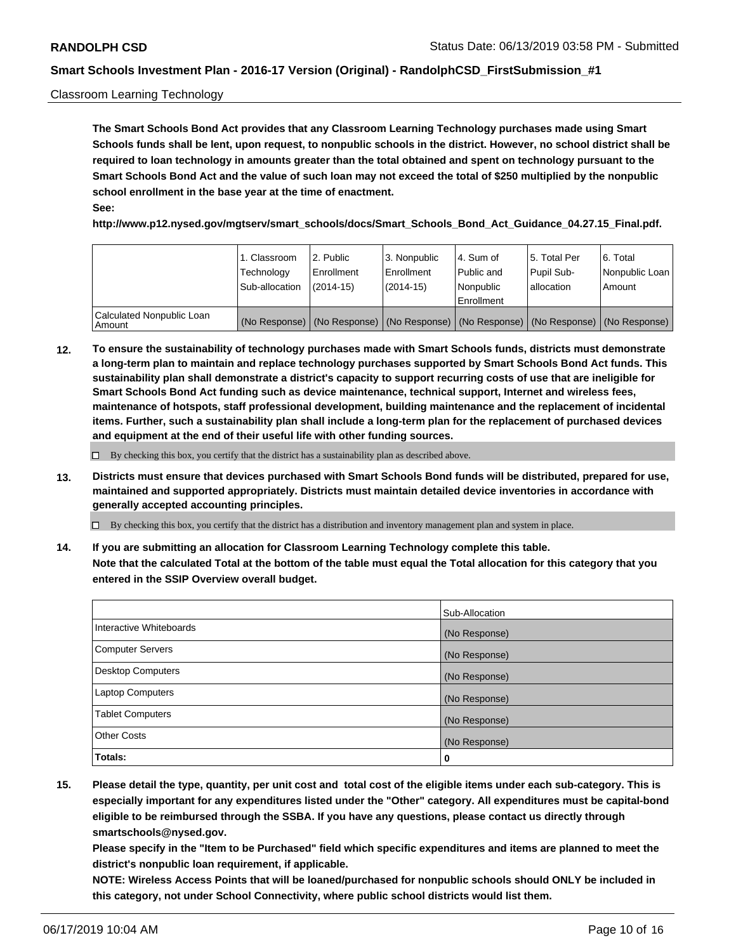#### Classroom Learning Technology

**The Smart Schools Bond Act provides that any Classroom Learning Technology purchases made using Smart Schools funds shall be lent, upon request, to nonpublic schools in the district. However, no school district shall be required to loan technology in amounts greater than the total obtained and spent on technology pursuant to the Smart Schools Bond Act and the value of such loan may not exceed the total of \$250 multiplied by the nonpublic school enrollment in the base year at the time of enactment. See:**

**http://www.p12.nysed.gov/mgtserv/smart\_schools/docs/Smart\_Schools\_Bond\_Act\_Guidance\_04.27.15\_Final.pdf.**

|                                       | 1. Classroom<br>Technology<br>Sub-allocation | 2. Public<br>l Enrollment<br>$(2014-15)$ | l 3. Nonpublic<br>l Enrollment<br>$(2014 - 15)$ | l 4. Sum of<br>Public and<br>l Nonpublic<br>Enrollment                                        | 15. Total Per<br>Pupil Sub-<br>l allocation | l 6. Total<br>Nonpublic Loan<br>Amount |
|---------------------------------------|----------------------------------------------|------------------------------------------|-------------------------------------------------|-----------------------------------------------------------------------------------------------|---------------------------------------------|----------------------------------------|
| Calculated Nonpublic Loan<br>l Amount |                                              |                                          |                                                 | (No Response)   (No Response)   (No Response)   (No Response)   (No Response)   (No Response) |                                             |                                        |

**12. To ensure the sustainability of technology purchases made with Smart Schools funds, districts must demonstrate a long-term plan to maintain and replace technology purchases supported by Smart Schools Bond Act funds. This sustainability plan shall demonstrate a district's capacity to support recurring costs of use that are ineligible for Smart Schools Bond Act funding such as device maintenance, technical support, Internet and wireless fees, maintenance of hotspots, staff professional development, building maintenance and the replacement of incidental items. Further, such a sustainability plan shall include a long-term plan for the replacement of purchased devices and equipment at the end of their useful life with other funding sources.**

 $\Box$  By checking this box, you certify that the district has a sustainability plan as described above.

**13. Districts must ensure that devices purchased with Smart Schools Bond funds will be distributed, prepared for use, maintained and supported appropriately. Districts must maintain detailed device inventories in accordance with generally accepted accounting principles.**

By checking this box, you certify that the district has a distribution and inventory management plan and system in place.

**14. If you are submitting an allocation for Classroom Learning Technology complete this table. Note that the calculated Total at the bottom of the table must equal the Total allocation for this category that you entered in the SSIP Overview overall budget.**

|                          | Sub-Allocation |
|--------------------------|----------------|
| Interactive Whiteboards  | (No Response)  |
| <b>Computer Servers</b>  | (No Response)  |
| <b>Desktop Computers</b> | (No Response)  |
| <b>Laptop Computers</b>  | (No Response)  |
| <b>Tablet Computers</b>  | (No Response)  |
| <b>Other Costs</b>       | (No Response)  |
| Totals:                  | 0              |

**15. Please detail the type, quantity, per unit cost and total cost of the eligible items under each sub-category. This is especially important for any expenditures listed under the "Other" category. All expenditures must be capital-bond eligible to be reimbursed through the SSBA. If you have any questions, please contact us directly through smartschools@nysed.gov.**

**Please specify in the "Item to be Purchased" field which specific expenditures and items are planned to meet the district's nonpublic loan requirement, if applicable.**

**NOTE: Wireless Access Points that will be loaned/purchased for nonpublic schools should ONLY be included in this category, not under School Connectivity, where public school districts would list them.**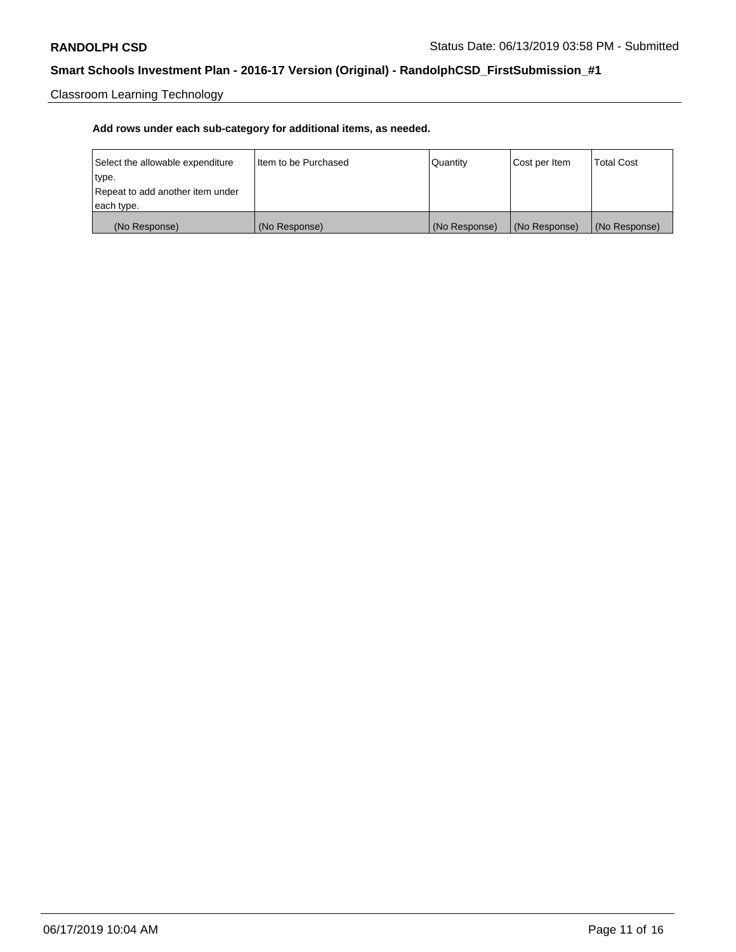Classroom Learning Technology

| Select the allowable expenditure | Iltem to be Purchased | Quantity      | Cost per Item | <b>Total Cost</b> |
|----------------------------------|-----------------------|---------------|---------------|-------------------|
| type.                            |                       |               |               |                   |
| Repeat to add another item under |                       |               |               |                   |
| each type.                       |                       |               |               |                   |
| (No Response)                    | (No Response)         | (No Response) | (No Response) | (No Response)     |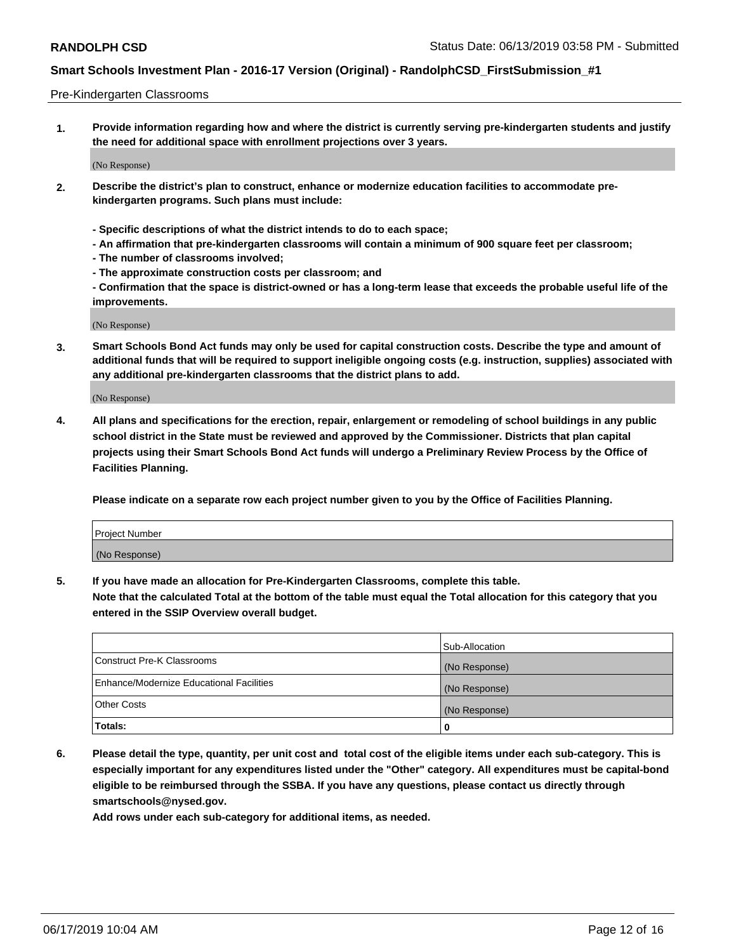#### Pre-Kindergarten Classrooms

**1. Provide information regarding how and where the district is currently serving pre-kindergarten students and justify the need for additional space with enrollment projections over 3 years.**

(No Response)

- **2. Describe the district's plan to construct, enhance or modernize education facilities to accommodate prekindergarten programs. Such plans must include:**
	- **Specific descriptions of what the district intends to do to each space;**
	- **An affirmation that pre-kindergarten classrooms will contain a minimum of 900 square feet per classroom;**
	- **The number of classrooms involved;**
	- **The approximate construction costs per classroom; and**
	- **Confirmation that the space is district-owned or has a long-term lease that exceeds the probable useful life of the improvements.**

(No Response)

**3. Smart Schools Bond Act funds may only be used for capital construction costs. Describe the type and amount of additional funds that will be required to support ineligible ongoing costs (e.g. instruction, supplies) associated with any additional pre-kindergarten classrooms that the district plans to add.**

(No Response)

**4. All plans and specifications for the erection, repair, enlargement or remodeling of school buildings in any public school district in the State must be reviewed and approved by the Commissioner. Districts that plan capital projects using their Smart Schools Bond Act funds will undergo a Preliminary Review Process by the Office of Facilities Planning.**

**Please indicate on a separate row each project number given to you by the Office of Facilities Planning.**

| Project Number |  |
|----------------|--|
| (No Response)  |  |
|                |  |

**5. If you have made an allocation for Pre-Kindergarten Classrooms, complete this table.**

**Note that the calculated Total at the bottom of the table must equal the Total allocation for this category that you entered in the SSIP Overview overall budget.**

|                                          | Sub-Allocation |
|------------------------------------------|----------------|
| Construct Pre-K Classrooms               | (No Response)  |
| Enhance/Modernize Educational Facilities | (No Response)  |
| <b>Other Costs</b>                       | (No Response)  |
| Totals:                                  | 0              |

**6. Please detail the type, quantity, per unit cost and total cost of the eligible items under each sub-category. This is especially important for any expenditures listed under the "Other" category. All expenditures must be capital-bond eligible to be reimbursed through the SSBA. If you have any questions, please contact us directly through smartschools@nysed.gov.**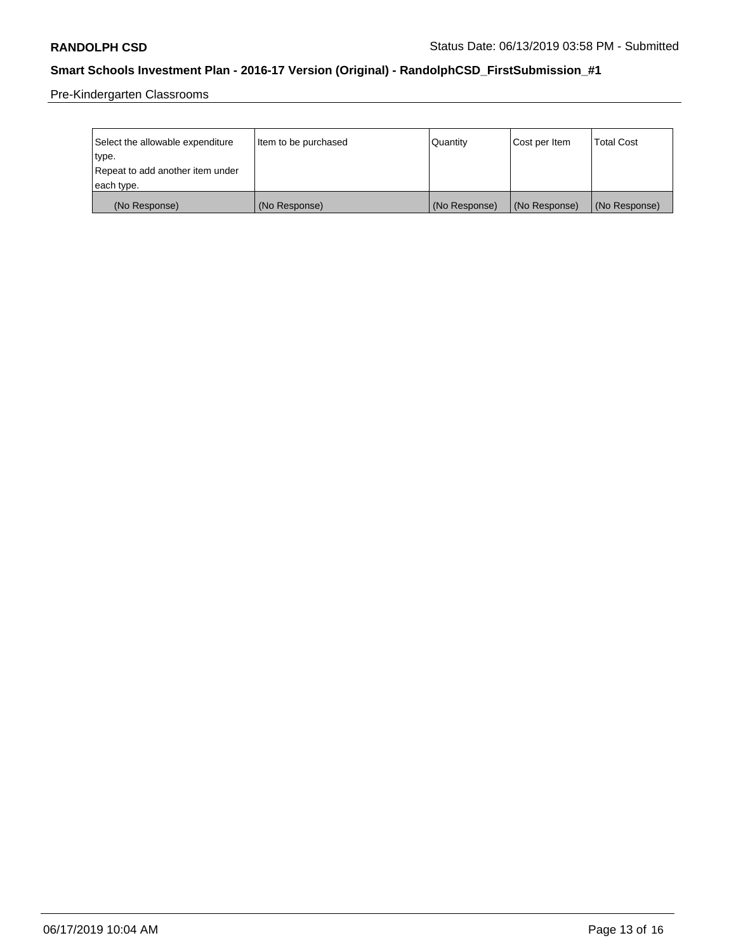Pre-Kindergarten Classrooms

| Select the allowable expenditure | Item to be purchased | Quantity      | Cost per Item | <b>Total Cost</b> |
|----------------------------------|----------------------|---------------|---------------|-------------------|
| type.                            |                      |               |               |                   |
| Repeat to add another item under |                      |               |               |                   |
| each type.                       |                      |               |               |                   |
| (No Response)                    | (No Response)        | (No Response) | (No Response) | (No Response)     |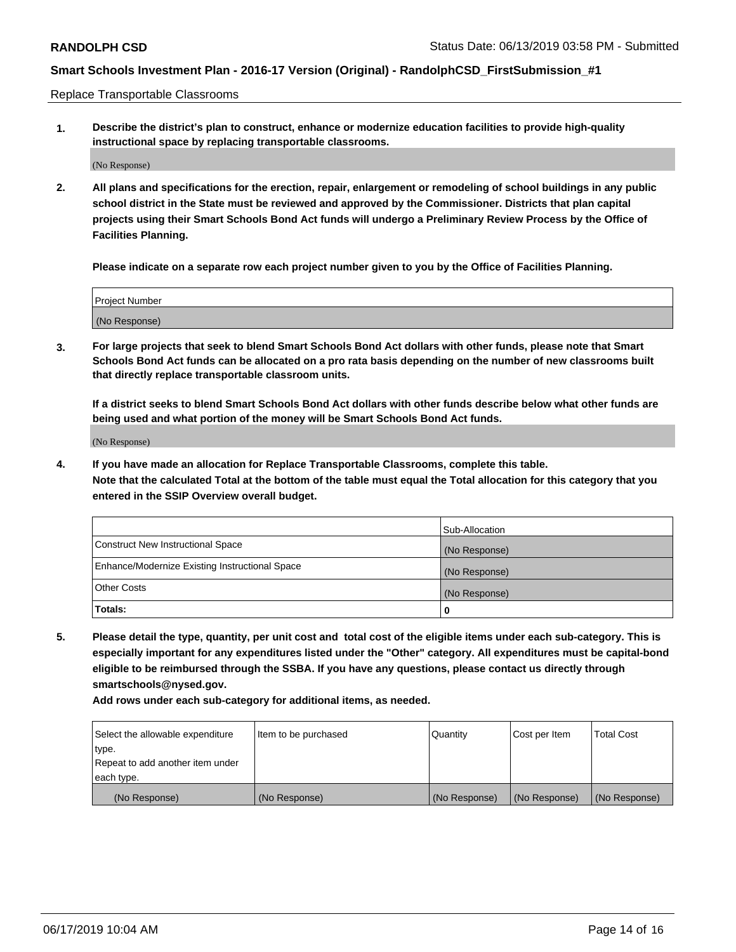Replace Transportable Classrooms

**1. Describe the district's plan to construct, enhance or modernize education facilities to provide high-quality instructional space by replacing transportable classrooms.**

(No Response)

**2. All plans and specifications for the erection, repair, enlargement or remodeling of school buildings in any public school district in the State must be reviewed and approved by the Commissioner. Districts that plan capital projects using their Smart Schools Bond Act funds will undergo a Preliminary Review Process by the Office of Facilities Planning.**

**Please indicate on a separate row each project number given to you by the Office of Facilities Planning.**

| Project Number |  |
|----------------|--|
|                |  |
|                |  |
|                |  |
|                |  |
| (No Response)  |  |
|                |  |
|                |  |
|                |  |

**3. For large projects that seek to blend Smart Schools Bond Act dollars with other funds, please note that Smart Schools Bond Act funds can be allocated on a pro rata basis depending on the number of new classrooms built that directly replace transportable classroom units.**

**If a district seeks to blend Smart Schools Bond Act dollars with other funds describe below what other funds are being used and what portion of the money will be Smart Schools Bond Act funds.**

(No Response)

**4. If you have made an allocation for Replace Transportable Classrooms, complete this table. Note that the calculated Total at the bottom of the table must equal the Total allocation for this category that you entered in the SSIP Overview overall budget.**

|                                                | Sub-Allocation |
|------------------------------------------------|----------------|
| Construct New Instructional Space              | (No Response)  |
| Enhance/Modernize Existing Instructional Space | (No Response)  |
| <b>Other Costs</b>                             | (No Response)  |
| Totals:                                        | 0              |

**5. Please detail the type, quantity, per unit cost and total cost of the eligible items under each sub-category. This is especially important for any expenditures listed under the "Other" category. All expenditures must be capital-bond eligible to be reimbursed through the SSBA. If you have any questions, please contact us directly through smartschools@nysed.gov.**

| Select the allowable expenditure | Item to be purchased | l Quantitv    | Cost per Item | <b>Total Cost</b> |
|----------------------------------|----------------------|---------------|---------------|-------------------|
| type.                            |                      |               |               |                   |
| Repeat to add another item under |                      |               |               |                   |
| each type.                       |                      |               |               |                   |
| (No Response)                    | (No Response)        | (No Response) | (No Response) | (No Response)     |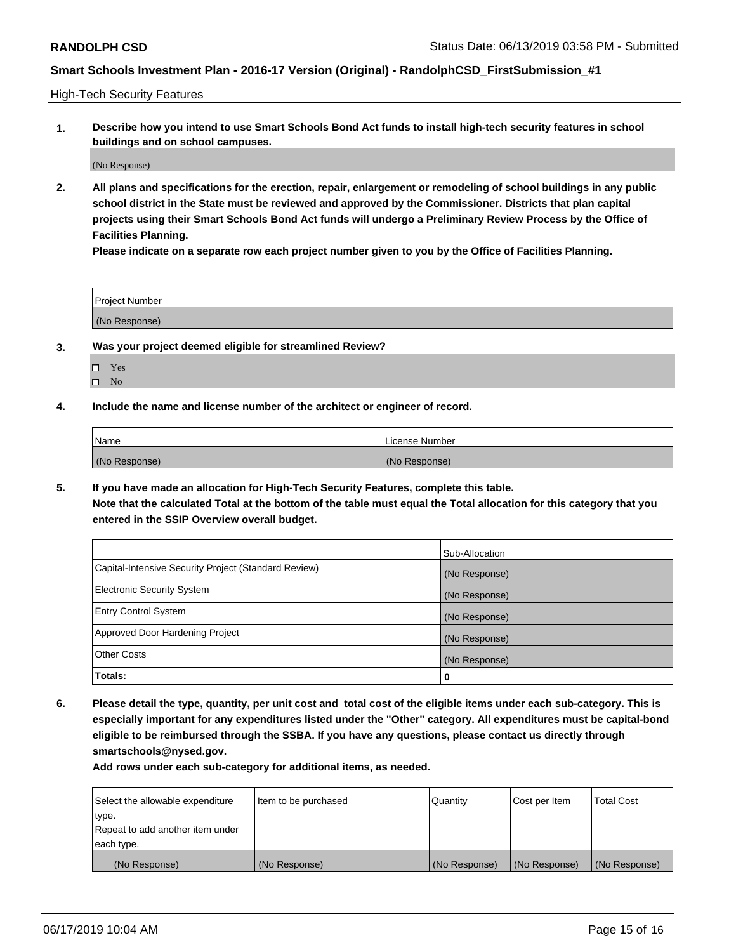High-Tech Security Features

**1. Describe how you intend to use Smart Schools Bond Act funds to install high-tech security features in school buildings and on school campuses.**

(No Response)

**2. All plans and specifications for the erection, repair, enlargement or remodeling of school buildings in any public school district in the State must be reviewed and approved by the Commissioner. Districts that plan capital projects using their Smart Schools Bond Act funds will undergo a Preliminary Review Process by the Office of Facilities Planning.** 

**Please indicate on a separate row each project number given to you by the Office of Facilities Planning.**

| <b>Project Number</b> |  |
|-----------------------|--|
| (No Response)         |  |

- **3. Was your project deemed eligible for streamlined Review?**
	- Yes  $\square$  No
- **4. Include the name and license number of the architect or engineer of record.**

| Name          | License Number |
|---------------|----------------|
| (No Response) | (No Response)  |

**5. If you have made an allocation for High-Tech Security Features, complete this table.**

**Note that the calculated Total at the bottom of the table must equal the Total allocation for this category that you entered in the SSIP Overview overall budget.**

|                                                      | Sub-Allocation |
|------------------------------------------------------|----------------|
| Capital-Intensive Security Project (Standard Review) | (No Response)  |
| <b>Electronic Security System</b>                    | (No Response)  |
| <b>Entry Control System</b>                          | (No Response)  |
| Approved Door Hardening Project                      | (No Response)  |
| <b>Other Costs</b>                                   | (No Response)  |
| Totals:                                              | 0              |

**6. Please detail the type, quantity, per unit cost and total cost of the eligible items under each sub-category. This is especially important for any expenditures listed under the "Other" category. All expenditures must be capital-bond eligible to be reimbursed through the SSBA. If you have any questions, please contact us directly through smartschools@nysed.gov.**

| Select the allowable expenditure | Item to be purchased | Quantity      | Cost per Item | Total Cost    |
|----------------------------------|----------------------|---------------|---------------|---------------|
| type.                            |                      |               |               |               |
| Repeat to add another item under |                      |               |               |               |
| each type.                       |                      |               |               |               |
| (No Response)                    | (No Response)        | (No Response) | (No Response) | (No Response) |